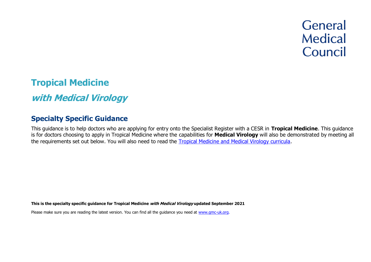# **General Medical** Council

# **Tropical Medicine**

**with Medical Virology**

# **Specialty Specific Guidance**

This guidance is to help doctors who are applying for entry onto the Specialist Register with a CESR in **Tropical Medicine**. This guidance is for doctors choosing to apply in Tropical Medicine where the capabilities for **Medical Virology** will also be demonstrated by meeting all the requirements set out below. You will also need to read the [Tropical Medicine and Medical Virology curricula.](https://www.gmc-uk.org/education/standards-guidance-and-curricula/curricula%23T)

**This is the specialty specific guidance for Tropical Medicine with Medical Virology updated September 2021**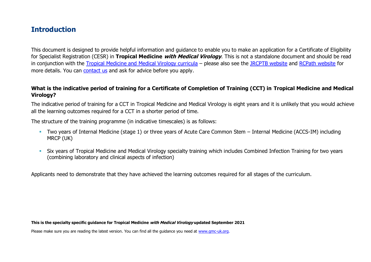# **Introduction**

This document is designed to provide helpful information and guidance to enable you to make an application for a Certificate of Eligibility for Specialist Registration (CESR) in **Tropical Medicine with Medical Virology**. This is not a standalone document and should be read in conjunction with the [Tropical Medicine and Medical Virology curricula](https://www.gmc-uk.org/education/standards-guidance-and-curricula/curricula%23T) – please also see the [JRCPTB website](https://www.jrcptb.org.uk/specialties/infectious-diseases-and-tropical-medicine) and [RCPath website](https://www.rcpath.org/trainees/training/training-by-specialty/medical-virology-2021.html) for more details. You can [contact us](http://www.gmc-uk.org/about/contacts.asp) and ask for advice before you apply.

#### **What is the indicative period of training for a Certificate of Completion of Training (CCT) in Tropical Medicine and Medical Virology?**

The indicative period of training for a CCT in Tropical Medicine and Medical Virology is eight years and it is unlikely that you would achieve all the learning outcomes required for a CCT in a shorter period of time.

The structure of the training programme (in indicative timescales) is as follows:

- Two years of Internal Medicine (stage 1) or three years of Acute Care Common Stem Internal Medicine (ACCS-IM) including MRCP (UK)
- **•** Six years of Tropical Medicine and Medical Virology specialty training which includes Combined Infection Training for two years (combining laboratory and clinical aspects of infection)

Applicants need to demonstrate that they have achieved the learning outcomes required for all stages of the curriculum.

#### **This is the specialty specific guidance for Tropical Medicine with Medical Virology updated September 2021**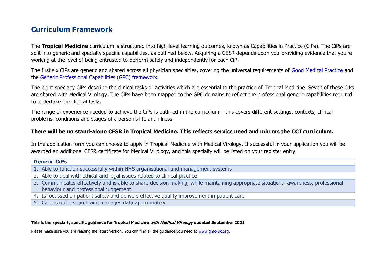# **Curriculum Framework**

The **Tropical Medicine** curriculum is structured into high-level learning outcomes, known as Capabilities in Practice (CiPs). The CiPs are split into generic and specialty specific capabilities, as outlined below. Acquiring a CESR depends upon you providing evidence that you're working at the level of being entrusted to perform safely and independently for each CiP.

The first six CiPs are generic and shared across all physician specialties, covering the universal requirements of [Good Medical Practice](https://www.gmc-uk.org/-/media/documents/good-medical-practice---english-20200128_pdf-51527435.pdf?la=en&hash=DA1263358CCA88F298785FE2BD7610EB4EE9A530) and the [Generic Professional Capabilities \(GPC\) framework.](https://www.gmc-uk.org/-/media/documents/generic-professional-capabilities-framework--0817_pdf-70417127.pdf)

The eight specialty CiPs describe the clinical tasks or activities which are essential to the practice of Tropical Medicine. Seven of these CiPs are shared with Medical Virology. The CiPs have been mapped to the GPC domains to reflect the professional generic capabilities required to undertake the clinical tasks.

The range of experience needed to achieve the CiPs is outlined in the curriculum – this covers different settings, contexts, clinical problems, conditions and stages of a person's life and illness.

#### **There will be no stand-alone CESR in Tropical Medicine. This reflects service need and mirrors the CCT curriculum.**

In the application form you can choose to apply in Tropical Medicine with Medical Virology. If successful in your application you will be awarded an additional CESR certificate for Medical Virology, and this specialty will be listed on your register entry.

#### **Generic CiPs**

- 1. Able to function successfully within NHS organisational and management systems
- 2. Able to deal with ethical and legal issues related to clinical practice
- 3. Communicates effectively and is able to share decision making, while maintaining appropriate situational awareness, professional behaviour and professional judgement
- 4. Is focussed on patient safety and delivers effective quality improvement in patient care
- 5. Carries out research and manages data appropriately

#### **This is the specialty specific guidance for Tropical Medicine with Medical Virology updated September 2021**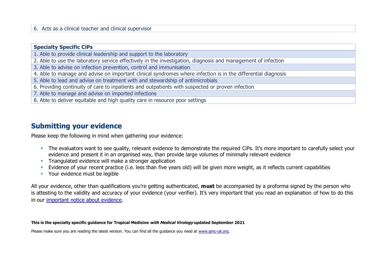#### 6. Acts as a clinical teacher and clinical supervisor

#### **Specialty Specific CiPs**

- 1. Able to provide clinical leadership and support to the laboratory
- 2. Able to use the laboratory service effectively in the investigation, diagnosis and management of infection
- 3. Able to advise on infection prevention, control and immunisation
- 4. Able to manage and advise on important clinical syndromes where infection is in the differential diagnosis
- 5. Able to lead and advise on treatment with and stewardship of antimicrobials
- 6. Providing continuity of care to inpatients and outpatients with suspected or proven infection
- 7. Able to manage and advise on imported infections
- 8. Able to deliver equitable and high quality care in resource poor settings

### **Submitting your evidence**

Please keep the following in mind when gathering your evidence:

- **The evaluators want to see quality, relevant evidence to demonstrate the required CiPs. It's more important to carefully select your** evidence and present it in an organised way, than provide large volumes of minimally relevant evidence
- **•** Triangulated evidence will make a stronger application
- Evidence of your recent practice (i.e. less than five years old) will be given more weight, as it reflects current capabilities
- Your evidence must be legible

All your evidence, other than qualifications you're getting authenticated, **must** be accompanied by a proforma signed by the person who is attesting to the validity and accuracy of your evidence (your verifier). It's very important that you read an explanation of how to do this in our [important notice about evidence.](http://www.gmc-uk.org/doctors/evidence_notice.asp)

#### **This is the specialty specific guidance for Tropical Medicine with Medical Virology updated September 2021**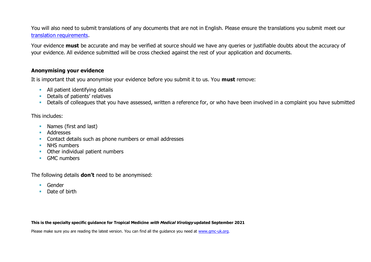You will also need to submit translations of any documents that are not in English. Please ensure the translations you submit meet our [translation requirements.](http://www.gmc-uk.org/doctors/translations.asp)

Your evidence **must** be accurate and may be verified at source should we have any queries or justifiable doubts about the accuracy of your evidence. All evidence submitted will be cross checked against the rest of your application and documents.

#### **Anonymising your evidence**

It is important that you anonymise your evidence before you submit it to us. You **must** remove:

- **E** All patient identifying details
- **•** Details of patients' relatives
- **•** Details of colleagues that you have assessed, written a reference for, or who have been involved in a complaint you have submitted

#### This includes:

- Names (first and last)
- Addresses
- Contact details such as phone numbers or email addresses
- **■** NHS numbers
- Other individual patient numbers
- GMC numbers

The following details **don't** need to be anonymised:

- Gender
- Date of birth

**This is the specialty specific guidance for Tropical Medicine with Medical Virology updated September 2021**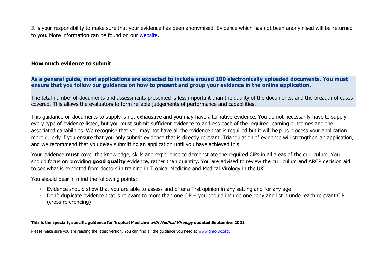It is your responsibility to make sure that your evidence has been anonymised. Evidence which has not been anonymised will be returned to you. More information can be found on our [website.](https://www.gmc-uk.org/registration-and-licensing/join-the-register/registration-applications/cesr-cegpr-application-process/anonymisation)

#### **How much evidence to submit**

**As a general guide, most applications are expected to include around 100 electronically uploaded documents. You must ensure that you follow our guidance on how to present and group your evidence in the online application.**

The total number of documents and assessments presented is less important than the quality of the documents, and the breadth of cases covered. This allows the evaluators to form reliable judgements of performance and capabilities.

This guidance on documents to supply is not exhaustive and you may have alternative evidence. You do not necessarily have to supply every type of evidence listed, but you must submit sufficient evidence to address each of the required learning outcomes and the associated capabilities. We recognise that you may not have all the evidence that is required but it will help us process your application more quickly if you ensure that you only submit evidence that is directly relevant. Triangulation of evidence will strengthen an application, and we recommend that you delay submitting an application until you have achieved this.

Your evidence **must** cover the knowledge, skills and experience to demonstrate the required CiPs in all areas of the curriculum. You should focus on providing **good quality** evidence, rather than quantity. You are advised to review the curriculum and ARCP decision aid to see what is expected from doctors in training in Tropical Medicine and Medical Virology in the UK.

You should bear in mind the following points:

- **Evidence should show that you are able to assess and offer a first opinion in any setting and for any age**
- Don't duplicate evidence that is relevant to more than one CiP you should include one copy and list it under each relevant CiP (cross referencing)

#### **This is the specialty specific guidance for Tropical Medicine with Medical Virology updated September 2021**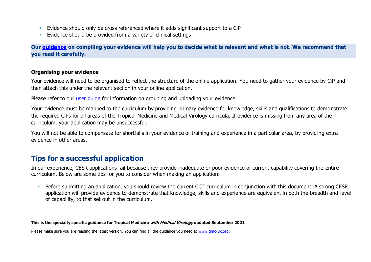- Evidence should only be cross referenced where it adds significant support to a CiP
- **Evidence should be provided from a variety of clinical settings.**

**Our [guidance](https://www.gmc-uk.org/-/media/documents/sat---cesr-cegpr-online-application---user-guide---dc11550_pdf-76194730.pdf) on compiling your evidence will help you to decide what is relevant and what is not. We recommend that you read it carefully.**

#### **Organising your evidence**

Your evidence will need to be organised to reflect the structure of the online application. You need to gather your evidence by CiP and then attach this under the relevant section in your online application.

Please refer to our user quide for information on grouping and uploading your evidence.

Your evidence must be mapped to the curriculum by providing primary evidence for knowledge, skills and qualifications to demonstrate the required CiPs for all areas of the Tropical Medicine and Medical Virology curricula. If evidence is missing from any area of the curriculum, your application may be unsuccessful.

You will not be able to compensate for shortfalls in your evidence of training and experience in a particular area, by providing extra evidence in other areas.

# **Tips for a successful application**

In our experience, CESR applications fail because they provide inadequate or poor evidence of current capability covering the entire curriculum. Below are some tips for you to consider when making an application:

■ Before submitting an application, you should review the current CCT curriculum in conjunction with this document. A strong CESR application will provide evidence to demonstrate that knowledge, skills and experience are equivalent in both the breadth and level of capability, to that set out in the curriculum.

#### **This is the specialty specific guidance for Tropical Medicine with Medical Virology updated September 2021**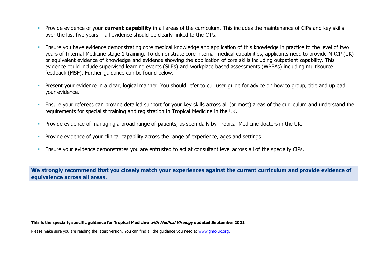- **EXPROVIDE EVIDENCE OF VOUL CUTTENT CAPABILITY** in all areas of the curriculum. This includes the maintenance of CiPs and key skills over the last five years – all evidence should be clearly linked to the CiPs.
- Ensure you have evidence demonstrating core medical knowledge and application of this knowledge in practice to the level of two years of Internal Medicine stage 1 training. To demonstrate core internal medical capabilities, applicants need to provide MRCP (UK) or equivalent evidence of knowledge and evidence showing the application of core skills including outpatient capability. This evidence could include supervised learning events (SLEs) and workplace based assessments (WPBAs) including multisource feedback (MSF). Further guidance can be found below.
- **•** Present your evidence in a clear, logical manner. You should refer to our user guide for advice on how to group, title and upload your evidence.
- Ensure your referees can provide detailed support for your key skills across all (or most) areas of the curriculum and understand the requirements for specialist training and registration in Tropical Medicine in the UK.
- **•** Provide evidence of managing a broad range of patients, as seen daily by Tropical Medicine doctors in the UK.
- **•** Provide evidence of your clinical capability across the range of experience, ages and settings.
- **Ensure your evidence demonstrates you are entrusted to act at consultant level across all of the specialty CiPs.**

**We strongly recommend that you closely match your experiences against the current curriculum and provide evidence of equivalence across all areas.** 

#### **This is the specialty specific guidance for Tropical Medicine with Medical Virology updated September 2021**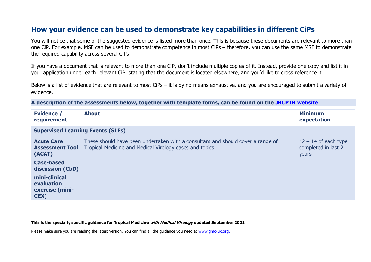# **How your evidence can be used to demonstrate key capabilities in different CiPs**

You will notice that some of the suggested evidence is listed more than once. This is because these documents are relevant to more than one CiP. For example, MSF can be used to demonstrate competence in most CiPs – therefore, you can use the same MSF to demonstrate the required capability across several CiPs

If you have a document that is relevant to more than one CiP, don't include multiple copies of it. Instead, provide one copy and list it in your application under each relevant CiP, stating that the document is located elsewhere, and you'd like to cross reference it.

Below is a list of evidence that are relevant to most CiPs – it is by no means exhaustive, and you are encouraged to submit a variety of evidence.

**A description of the assessments below, together with template forms, can be found on the [JRCPTB website](https://www.jrcptb.org.uk/assessment/workplace-based-assessment)**

| Evidence /<br>requirement                              | <b>About</b>                                                                                                                                | <b>Minimum</b><br>expectation                          |  |  |  |  |
|--------------------------------------------------------|---------------------------------------------------------------------------------------------------------------------------------------------|--------------------------------------------------------|--|--|--|--|
|                                                        | <b>Supervised Learning Events (SLEs)</b>                                                                                                    |                                                        |  |  |  |  |
| <b>Acute Care</b><br><b>Assessment Tool</b><br>(ACAT)  | These should have been undertaken with a consultant and should cover a range of<br>Tropical Medicine and Medical Virology cases and topics. | $12 - 14$ of each type<br>completed in last 2<br>years |  |  |  |  |
| <b>Case-based</b><br>discussion (CbD)                  |                                                                                                                                             |                                                        |  |  |  |  |
| mini-clinical<br>evaluation<br>exercise (mini-<br>CEX) |                                                                                                                                             |                                                        |  |  |  |  |

#### **This is the specialty specific guidance for Tropical Medicine with Medical Virology updated September 2021**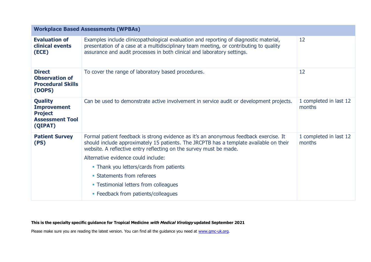|                                                                                             | <b>Workplace Based Assessments (WPBAs)</b>                                                                                                                                                                                                                                                                                                                                                                                                            |                                  |
|---------------------------------------------------------------------------------------------|-------------------------------------------------------------------------------------------------------------------------------------------------------------------------------------------------------------------------------------------------------------------------------------------------------------------------------------------------------------------------------------------------------------------------------------------------------|----------------------------------|
| <b>Evaluation of</b><br>clinical events<br>(ECE)                                            | Examples include clinicopathological evaluation and reporting of diagnostic material,<br>presentation of a case at a multidisciplinary team meeting, or contributing to quality<br>assurance and audit processes in both clinical and laboratory settings.                                                                                                                                                                                            | 12                               |
| <b>Direct</b><br><b>Observation of</b><br><b>Procedural Skills</b><br>(DOPS)                | To cover the range of laboratory based procedures.                                                                                                                                                                                                                                                                                                                                                                                                    | 12                               |
| <b>Quality</b><br><b>Improvement</b><br><b>Project</b><br><b>Assessment Tool</b><br>(QIPAT) | Can be used to demonstrate active involvement in service audit or development projects.                                                                                                                                                                                                                                                                                                                                                               | 1 completed in last 12<br>months |
| <b>Patient Survey</b><br>(PS)                                                               | Formal patient feedback is strong evidence as it's an anonymous feedback exercise. It<br>should include approximately 15 patients. The JRCPTB has a template available on their<br>website. A reflective entry reflecting on the survey must be made.<br>Alternative evidence could include:<br>• Thank you letters/cards from patients<br>• Statements from referees<br>• Testimonial letters from colleagues<br>• Feedback from patients/colleagues | 1 completed in last 12<br>months |
|                                                                                             |                                                                                                                                                                                                                                                                                                                                                                                                                                                       |                                  |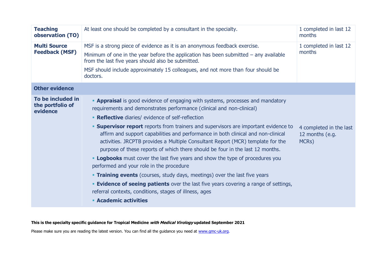| <b>Teaching</b><br>observation (TO)               | At least one should be completed by a consultant in the specialty.                                                                                                                                                                                                                                                                                                                                                                                                                                                                                                                                                                                                                                                                                                                                                                                                                                                                                                                   | 1 completed in last 12<br>months                                 |
|---------------------------------------------------|--------------------------------------------------------------------------------------------------------------------------------------------------------------------------------------------------------------------------------------------------------------------------------------------------------------------------------------------------------------------------------------------------------------------------------------------------------------------------------------------------------------------------------------------------------------------------------------------------------------------------------------------------------------------------------------------------------------------------------------------------------------------------------------------------------------------------------------------------------------------------------------------------------------------------------------------------------------------------------------|------------------------------------------------------------------|
| <b>Multi Source</b><br><b>Feedback (MSF)</b>      | MSF is a strong piece of evidence as it is an anonymous feedback exercise.<br>Minimum of one in the year before the application has been submitted $-$ any available<br>from the last five years should also be submitted.<br>MSF should include approximately 15 colleagues, and not more than four should be<br>doctors.                                                                                                                                                                                                                                                                                                                                                                                                                                                                                                                                                                                                                                                           | 1 completed in last 12<br>months                                 |
| <b>Other evidence</b>                             |                                                                                                                                                                                                                                                                                                                                                                                                                                                                                                                                                                                                                                                                                                                                                                                                                                                                                                                                                                                      |                                                                  |
| To be included in<br>the portfolio of<br>evidence | <b>- Appraisal</b> is good evidence of engaging with systems, processes and mandatory<br>requirements and demonstrates performance (clinical and non-clinical)<br>• Reflective diaries/ evidence of self-reflection<br><b>Supervisor report</b> reports from trainers and supervisors are important evidence to<br>affirm and support capabilities and performance in both clinical and non-clinical<br>activities. JRCPTB provides a Multiple Consultant Report (MCR) template for the<br>purpose of these reports of which there should be four in the last 12 months.<br><b>- Logbooks</b> must cover the last five years and show the type of procedures you<br>performed and your role in the procedure<br><b>Training events</b> (courses, study days, meetings) over the last five years<br><b>Evidence of seeing patients</b> over the last five years covering a range of settings,<br>referral contexts, conditions, stages of illness, ages<br><b>Academic activities</b> | 4 completed in the last<br>12 months (e.g.<br>MCR <sub>S</sub> ) |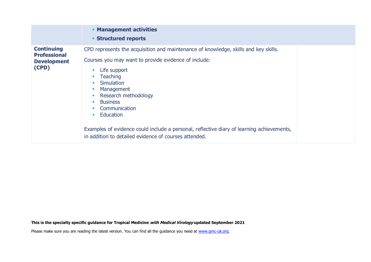|                                                                         | <b>• Management activities</b><br><b>Structured reports</b>                                                                                                                                                                                                                                                                                                                                                                                                                                             |
|-------------------------------------------------------------------------|---------------------------------------------------------------------------------------------------------------------------------------------------------------------------------------------------------------------------------------------------------------------------------------------------------------------------------------------------------------------------------------------------------------------------------------------------------------------------------------------------------|
| <b>Continuing</b><br><b>Professional</b><br><b>Development</b><br>(CPD) | CPD represents the acquisition and maintenance of knowledge, skills and key skills.<br>Courses you may want to provide evidence of include:<br>Life support<br><b>Teaching</b><br>Simulation<br>$\mathcal{L}_{\mathcal{A}}$<br>Management<br>Research methodology<br><b>Business</b><br><b>In</b><br>Communication<br>Education<br>$\blacksquare$<br>Examples of evidence could include a personal, reflective diary of learning achievements,<br>in addition to detailed evidence of courses attended. |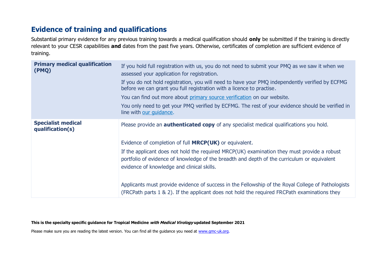# **Evidence of training and qualifications**

Substantial primary evidence for any previous training towards a medical qualification should **only** be submitted if the training is directly relevant to your CESR capabilities **and** dates from the past five years. Otherwise, certificates of completion are sufficient evidence of training.

| <b>Primary medical qualification</b><br>(PMQ) | If you hold full registration with us, you do not need to submit your PMQ as we saw it when we<br>assessed your application for registration.<br>If you do not hold registration, you will need to have your PMQ independently verified by ECFMG<br>before we can grant you full registration with a licence to practise.<br>You can find out more about primary source verification on our website.<br>You only need to get your PMQ verified by ECFMG. The rest of your evidence should be verified in<br>line with our guidance. |
|-----------------------------------------------|-------------------------------------------------------------------------------------------------------------------------------------------------------------------------------------------------------------------------------------------------------------------------------------------------------------------------------------------------------------------------------------------------------------------------------------------------------------------------------------------------------------------------------------|
| <b>Specialist medical</b><br>qualification(s) | Please provide an <b>authenticated copy</b> of any specialist medical qualifications you hold.                                                                                                                                                                                                                                                                                                                                                                                                                                      |
|                                               | Evidence of completion of full <b>MRCP(UK)</b> or equivalent.                                                                                                                                                                                                                                                                                                                                                                                                                                                                       |
|                                               | If the applicant does not hold the required MRCP(UK) examination they must provide a robust<br>portfolio of evidence of knowledge of the breadth and depth of the curriculum or equivalent<br>evidence of knowledge and clinical skills.                                                                                                                                                                                                                                                                                            |
|                                               | Applicants must provide evidence of success in the Fellowship of the Royal College of Pathologists<br>(FRCPath parts 1 & 2). If the applicant does not hold the required FRCPath examinations they                                                                                                                                                                                                                                                                                                                                  |

**This is the specialty specific guidance for Tropical Medicine with Medical Virology updated September 2021**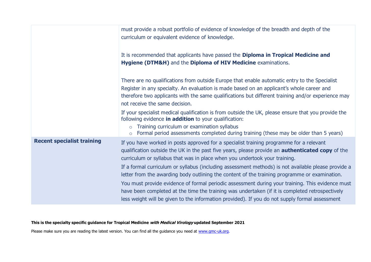|                                                                                                                                                     | must provide a robust portfolio of evidence of knowledge of the breadth and depth of the<br>curriculum or equivalent evidence of knowledge.                                                                                                                                                                                        |  |
|-----------------------------------------------------------------------------------------------------------------------------------------------------|------------------------------------------------------------------------------------------------------------------------------------------------------------------------------------------------------------------------------------------------------------------------------------------------------------------------------------|--|
| It is recommended that applicants have passed the Diploma in Tropical Medicine and<br>Hygiene (DTM&H) and the Diploma of HIV Medicine examinations. |                                                                                                                                                                                                                                                                                                                                    |  |
|                                                                                                                                                     | There are no qualifications from outside Europe that enable automatic entry to the Specialist<br>Register in any specialty. An evaluation is made based on an applicant's whole career and<br>therefore two applicants with the same qualifications but different training and/or experience may<br>not receive the same decision. |  |
|                                                                                                                                                     | If your specialist medical qualification is from outside the UK, please ensure that you provide the<br>following evidence in addition to your qualification:<br>Training curriculum or examination syllabus<br>$\circ$<br>Formal period assessments completed during training (these may be older than 5 years)<br>$\circ$         |  |
| <b>Recent specialist training</b>                                                                                                                   | If you have worked in posts approved for a specialist training programme for a relevant<br>qualification outside the UK in the past five years, please provide an <b>authenticated copy</b> of the<br>curriculum or syllabus that was in place when you undertook your training.                                                   |  |
|                                                                                                                                                     | If a formal curriculum or syllabus (including assessment methods) is not available please provide a<br>letter from the awarding body outlining the content of the training programme or examination.                                                                                                                               |  |
|                                                                                                                                                     | You must provide evidence of formal periodic assessment during your training. This evidence must<br>have been completed at the time the training was undertaken (if it is completed retrospectively<br>less weight will be given to the information provided). If you do not supply formal assessment                              |  |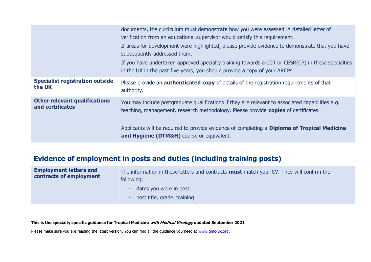|                                        | documents, the curriculum must demonstrate how you were assessed. A detailed letter of<br>verification from an educational supervisor would satisfy this requirement.<br>If areas for development were highlighted, please provide evidence to demonstrate that you have<br>subsequently addressed them.<br>If you have undertaken approved specialty training towards a CCT or CESR(CP) in these specialties<br>in the UK in the past five years, you should provide a copy of your ARCPs. |
|----------------------------------------|---------------------------------------------------------------------------------------------------------------------------------------------------------------------------------------------------------------------------------------------------------------------------------------------------------------------------------------------------------------------------------------------------------------------------------------------------------------------------------------------|
| <b>Specialist registration outside</b> | Please provide an <b>authenticated copy</b> of details of the registration requirements of that                                                                                                                                                                                                                                                                                                                                                                                             |
| the UK                                 | authority.                                                                                                                                                                                                                                                                                                                                                                                                                                                                                  |
| <b>Other relevant qualifications</b>   | You may include postgraduate qualifications if they are relevant to associated capabilities e.g.                                                                                                                                                                                                                                                                                                                                                                                            |
| and certificates                       | teaching, management, research methodology. Please provide copies of certificates.                                                                                                                                                                                                                                                                                                                                                                                                          |
|                                        | Applicants will be required to provide evidence of completing a <b>Diploma of Tropical Medicine</b><br>and Hygiene (DTM&H) course or equivalent.                                                                                                                                                                                                                                                                                                                                            |

# **Evidence of employment in posts and duties (including training posts)**

| <b>Employment letters and</b><br>contracts of employment | The information in these letters and contracts <b>must</b> match your CV. They will confirm the<br>following: |
|----------------------------------------------------------|---------------------------------------------------------------------------------------------------------------|
|                                                          | dates you were in post                                                                                        |
|                                                          | post title, grade, training                                                                                   |

**This is the specialty specific guidance for Tropical Medicine with Medical Virology updated September 2021**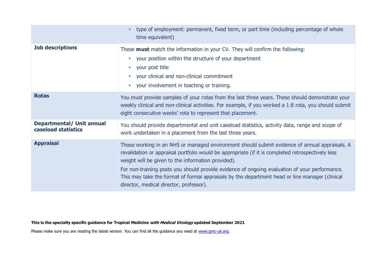|                                                         | type of employment: permanent, fixed term, or part time (including percentage of whole<br>time equivalent)                                                                                                                                                                                                                                                                                                                                                                                             |
|---------------------------------------------------------|--------------------------------------------------------------------------------------------------------------------------------------------------------------------------------------------------------------------------------------------------------------------------------------------------------------------------------------------------------------------------------------------------------------------------------------------------------------------------------------------------------|
| <b>Job descriptions</b>                                 | These <b>must</b> match the information in your CV. They will confirm the following:<br>your position within the structure of your department<br>٠<br>your post title<br>$\mathbb{R}^n$<br>your clinical and non-clinical commitment<br>$\mathcal{L}_{\mathcal{A}}$<br>your involvement in teaching or training.<br>$\mathcal{L}_{\mathcal{A}}$                                                                                                                                                        |
| <b>Rotas</b>                                            | You must provide samples of your rotas from the last three years. These should demonstrate your<br>weekly clinical and non-clinical activities. For example, if you worked a 1:8 rota, you should submit<br>eight consecutive weeks' rota to represent that placement.                                                                                                                                                                                                                                 |
| <b>Departmental/ Unit annual</b><br>caseload statistics | You should provide departmental and unit caseload statistics, activity data, range and scope of<br>work undertaken in a placement from the last three years.                                                                                                                                                                                                                                                                                                                                           |
| <b>Appraisal</b>                                        | Those working in an NHS or managed environment should submit evidence of annual appraisals. A<br>revalidation or appraisal portfolio would be appropriate (if it is completed retrospectively less<br>weight will be given to the information provided).<br>For non-training posts you should provide evidence of ongoing evaluation of your performance.<br>This may take the format of formal appraisals by the department head or line manager (clinical<br>director, medical director, professor). |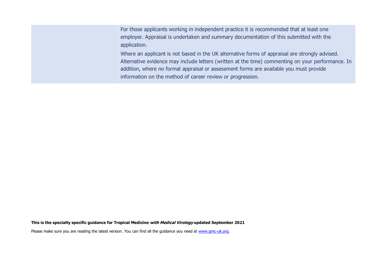For those applicants working in independent practice it is recommended that at least one employer. Appraisal is undertaken and summary documentation of this submitted with the application.

Where an applicant is not based in the UK alternative forms of appraisal are strongly advised. Alternative evidence may include letters (written at the time) commenting on your performance. In addition, where no formal appraisal or assessment forms are available you must provide information on the method of career review or progression.

**This is the specialty specific guidance for Tropical Medicine with Medical Virology updated September 2021**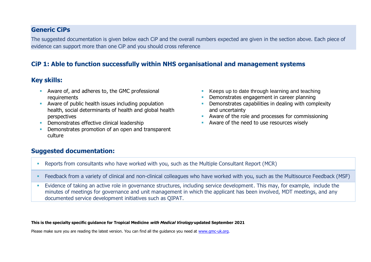#### **Generic CiPs**

The suggested documentation is given below each CiP and the overall numbers expected are given in the section above. Each piece of evidence can support more than one CiP and you should cross reference

### **CiP 1: Able to function successfully within NHS organisational and management systems**

### **Key skills:**

- Aware of, and adheres to, the GMC professional requirements
- Aware of public health issues including population health, social determinants of health and global health perspectives
- **•** Demonstrates effective clinical leadership
- **Demonstrates promotion of an open and transparent** culture
- Keeps up to date through learning and teaching
- **Demonstrates engagement in career planning**
- **•** Demonstrates capabilities in dealing with complexity and uncertainty
- Aware of the role and processes for commissioning
- Aware of the need to use resources wisely

#### **Suggested documentation:**

- Reports from consultants who have worked with you, such as the Multiple Consultant Report (MCR)
- Feedback from a variety of clinical and non-clinical colleagues who have worked with you, such as the Multisource Feedback (MSF)
- Evidence of taking an active role in governance structures, including service development. This may, for example, include the minutes of meetings for governance and unit management in which the applicant has been involved, MDT meetings, and any documented service development initiatives such as QIPAT.

#### **This is the specialty specific guidance for Tropical Medicine with Medical Virology updated September 2021**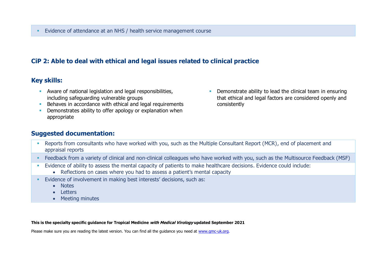### **CiP 2: Able to deal with ethical and legal issues related to clinical practice**

### **Key skills:**

- **EXECT** Aware of national legislation and legal responsibilities, including safeguarding vulnerable groups
- Behaves in accordance with ethical and legal requirements
- **Demonstrates ability to offer apology or explanation when** appropriate
- **•** Demonstrate ability to lead the clinical team in ensuring that ethical and legal factors are considered openly and consistently

### **Suggested documentation:**

- Reports from consultants who have worked with you, such as the Multiple Consultant Report (MCR), end of placement and appraisal reports
- Feedback from a variety of clinical and non-clinical colleagues who have worked with you, such as the Multisource Feedback (MSF)
- Evidence of ability to assess the mental capacity of patients to make healthcare decisions. Evidence could include:
	- Reflections on cases where you had to assess a patient's mental capacity
- Evidence of involvement in making best interests' decisions, such as:
	- Notes
	- Letters
	- Meeting minutes

#### **This is the specialty specific guidance for Tropical Medicine with Medical Virology updated September 2021**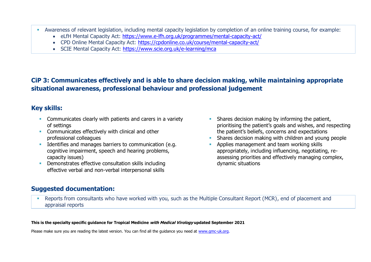- Awareness of relevant legislation, including mental capacity legislation by completion of an online training course, for example:
	- eLfH Mental Capacity Act:<https://www.e-lfh.org.uk/programmes/mental-capacity-act/>
	- CPD Online Mental Capacity Act: <https://cpdonline.co.uk/course/mental-capacity-act/>
	- SCIE Mental Capacity Act:<https://www.scie.org.uk/e-learning/mca>

### **CiP 3: Communicates effectively and is able to share decision making, while maintaining appropriate situational awareness, professional behaviour and professional judgement**

### **Key skills:**

- **EXECOMMUNICATELY COMMUNICATES** clearly with patients and carers in a variety of settings
- **EXECOMMUNICATES Effectively with clinical and other** professional colleagues
- **EXECUTE:** Identifies and manages barriers to communication (e.g. cognitive impairment, speech and hearing problems, capacity issues)
- Demonstrates effective consultation skills including effective verbal and non-verbal interpersonal skills
- **EXECUTE:** Shares decision making by informing the patient, prioritising the patient's goals and wishes, and respecting the patient's beliefs, concerns and expectations
- Shares decision making with children and young people
- Applies management and team working skills appropriately, including influencing, negotiating, reassessing priorities and effectively managing complex, dynamic situations

### **Suggested documentation:**

▪ Reports from consultants who have worked with you, such as the Multiple Consultant Report (MCR), end of placement and appraisal reports

#### **This is the specialty specific guidance for Tropical Medicine with Medical Virology updated September 2021**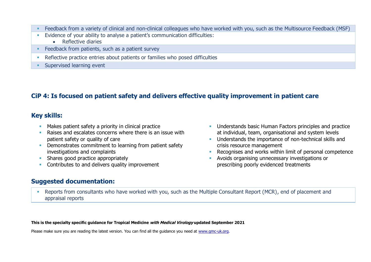- Feedback from a variety of clinical and non-clinical colleagues who have worked with you, such as the Multisource Feedback (MSF)
- Evidence of your ability to analyse a patient's communication difficulties:
	- Reflective diaries
- **EXECO FREEDBACK from patients, such as a patient survey**
- **Reflective practice entries about patients or families who posed difficulties**
- **EXECUTE:** Supervised learning event

### **CiP 4: Is focused on patient safety and delivers effective quality improvement in patient care**

#### **Key skills:**

- Makes patient safety a priority in clinical practice
- Raises and escalates concerns where there is an issue with patient safety or quality of care
- **Demonstrates commitment to learning from patient safety** investigations and complaints
- **EXECUTE:** Shares good practice appropriately
- Contributes to and delivers quality improvement

### **Suggested documentation:**

- **■** Understands basic Human Factors principles and practice at individual, team, organisational and system levels
- **■** Understands the importance of non-technical skills and crisis resource management
- Recognises and works within limit of personal competence
- Avoids organising unnecessary investigations or prescribing poorly evidenced treatments
- **Reports from consultants who have worked with you, such as the Multiple Consultant Report (MCR), end of placement and** appraisal reports

**This is the specialty specific guidance for Tropical Medicine with Medical Virology updated September 2021**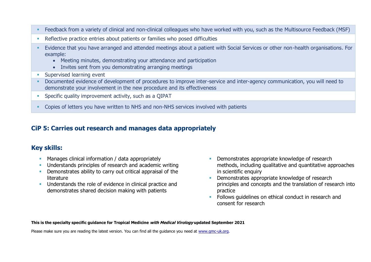- Feedback from a variety of clinical and non-clinical colleagues who have worked with you, such as the Multisource Feedback (MSF)
- **EXECTE ENTERITY PROPTER IN A THE PROPERT FIGGS Reflective practice entries** about patients or families who posed difficulties
- Evidence that you have arranged and attended meetings about a patient with Social Services or other non-health organisations. For example:
	- Meeting minutes, demonstrating your attendance and participation
	- Invites sent from you demonstrating arranging meetings
- **EXECUTE:** Supervised learning event
- Documented evidence of development of procedures to improve inter-service and inter-agency communication, you will need to demonstrate your involvement in the new procedure and its effectiveness
- **•** Specific quality improvement activity, such as a QIPAT
- **Copies of letters you have written to NHS and non-NHS services involved with patients**

### **CiP 5: Carries out research and manages data appropriately**

### **Key skills:**

- **EXECT** Manages clinical information / data appropriately
- Understands principles of research and academic writing
- **•** Demonstrates ability to carry out critical appraisal of the literature
- **EXECUTE:** Understands the role of evidence in clinical practice and demonstrates shared decision making with patients
- **EXECUTE:** Demonstrates appropriate knowledge of research methods, including qualitative and quantitative approaches in scientific enquiry
- Demonstrates appropriate knowledge of research principles and concepts and the translation of research into practice
- **EXECTE:** Follows quidelines on ethical conduct in research and consent for research

#### **This is the specialty specific guidance for Tropical Medicine with Medical Virology updated September 2021**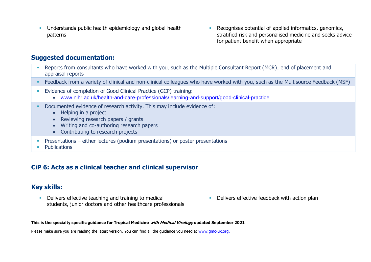- **■** Understands public health epidemiology and global health patterns
- Recognises potential of applied informatics, genomics, stratified risk and personalised medicine and seeks advice for patient benefit when appropriate

#### **Suggested documentation:**

- Reports from consultants who have worked with you, such as the Multiple Consultant Report (MCR), end of placement and appraisal reports
- Feedback from a variety of clinical and non-clinical colleagues who have worked with you, such as the Multisource Feedback (MSF)
- Evidence of completion of Good Clinical Practice (GCP) training:
	- [www.nihr.ac.uk/health-and-care-professionals/learning-and-support/good-clinical-practice](https://www.nihr.ac.uk/health-and-care-professionals/learning-and-support/good-clinical-practice.htm)
- **Documented evidence of research activity. This may include evidence of:** 
	- Helping in a project
	- Reviewing research papers / grants
	- Writing and co-authoring research papers
	- Contributing to research projects
- **•** Presentations either lectures (podium presentations) or poster presentations
- **Publications**

#### **CiP 6: Acts as a clinical teacher and clinical supervisor**

#### **Key skills:**

- **•** Delivers effective teaching and training to medical students, junior doctors and other healthcare professionals
- **•** Delivers effective feedback with action plan

**This is the specialty specific guidance for Tropical Medicine with Medical Virology updated September 2021**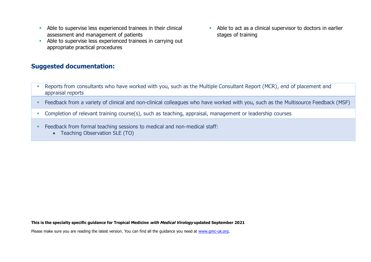- **EXECUTE:** Able to supervise less experienced trainees in their clinical assessment and management of patients
- Able to supervise less experienced trainees in carrying out appropriate practical procedures

#### **Suggested documentation:**

■ Able to act as a clinical supervisor to doctors in earlier stages of training

- Reports from consultants who have worked with you, such as the Multiple Consultant Report (MCR), end of placement and appraisal reports
- Feedback from a variety of clinical and non-clinical colleagues who have worked with you, such as the Multisource Feedback (MSF)
- **Completion of relevant training course(s), such as teaching, appraisal, management or leadership courses**
- **Feedback from formal teaching sessions to medical and non-medical staff:** 
	- Teaching Observation SLE (TO)

**This is the specialty specific guidance for Tropical Medicine with Medical Virology updated September 2021**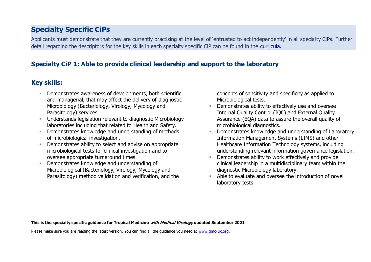# **Specialty Specific CiPs**

Applicants must demonstrate that they are currently practising at the level of 'entrusted to act independently' in all specialty CiPs. Further detail regarding the descriptors for the key skills in each specialty specific CiP can be found in the [curricula.](https://www.gmc-uk.org/education/standards-guidance-and-curricula/curricula#T)

### **Specialty CiP 1: Able to provide clinical leadership and support to the laboratory**

### **Key skills:**

- **Demonstrates awareness of developments, both scientific** and managerial, that may affect the delivery of diagnostic Microbiology (Bacteriology, Virology, Mycology and Parasitology) services.
- **■** Understands legislation relevant to diagnostic Microbiology laboratories including that related to Health and Safety.
- **•** Demonstrates knowledge and understanding of methods of microbiological investigation.
- **Demonstrates ability to select and advise on appropriate** microbiological tests for clinical investigation and to oversee appropriate turnaround times.
- Demonstrates knowledge and understanding of Microbiological (Bacteriology, Virology, Mycology and Parasitology) method validation and verification, and the

concepts of sensitivity and specificity as applied to Microbiological tests.

- **•** Demonstrates ability to effectively use and oversee Internal Quality Control (IQC) and External Quality Assurance (EQA) data to assure the overall quality of microbiological diagnostics.
- Demonstrates knowledge and understanding of Laboratory Information Management Systems (LIMS) and other Healthcare Information Technology systems, including understanding relevant information governance legislation.
- Demonstrates ability to work effectively and provide clinical leadership in a multidisciplinary team within the diagnostic Microbiology laboratory.
- Able to evaluate and oversee the introduction of novel laboratory tests

**This is the specialty specific guidance for Tropical Medicine with Medical Virology updated September 2021**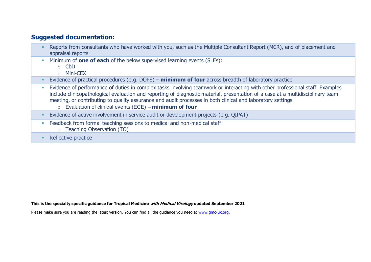#### **Suggested documentation:**

- Reports from consultants who have worked with you, such as the Multiple Consultant Report (MCR), end of placement and appraisal reports
- Minimum of **one of each** of the below supervised learning events (SLEs):
	- o CbD
	- o Mini-CEX
- Evidence of practical procedures (e.g. DOPS) **minimum of four** across breadth of laboratory practice
- **Evidence of performance of duties in complex tasks involving teamwork or interacting with other professional staff. Examples "** include clinicopathological evaluation and reporting of diagnostic material, presentation of a case at a multidisciplinary team meeting, or contributing to quality assurance and audit processes in both clinical and laboratory settings
	- o Evaluation of clinical events (ECE) **minimum of four**
- **Evidence of active involvement in service audit or development projects (e.g. QIPAT)**
- **Example 2** Feedback from formal teaching sessions to medical and non-medical staff:
	- o Teaching Observation (TO)
- Reflective practice

**This is the specialty specific guidance for Tropical Medicine with Medical Virology updated September 2021**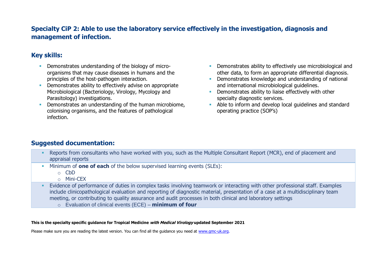### **Specialty CiP 2: Able to use the laboratory service effectively in the investigation, diagnosis and management of infection.**

### **Key skills:**

- **Demonstrates understanding of the biology of micro**organisms that may cause diseases in humans and the principles of the host-pathogen interaction.
- **EXECT** Demonstrates ability to effectively advise on appropriate Microbiological (Bacteriology, Virology, Mycology and Parasitology) investigations.
- Demonstrates an understanding of the human microbiome, colonising organisms, and the features of pathological infection.
- **•** Demonstrates ability to effectively use microbiological and other data, to form an appropriate differential diagnosis.
- **•** Demonstrates knowledge and understanding of national and international microbiological guidelines.
- **•** Demonstrates ability to liaise effectively with other specialty diagnostic services.
- Able to inform and develop local guidelines and standard operating practice (SOP's)

### **Suggested documentation:**

- **EXECTS from consultants who have worked with you, such as the Multiple Consultant Report (MCR), end of placement and** appraisal reports
- Minimum of **one of each** of the below supervised learning events (SLEs):
	- $\circ$  CbD
	- o Mini-CEX
- **E** Evidence of performance of duties in complex tasks involving teamwork or interacting with other professional staff. Examples include clinicopathological evaluation and reporting of diagnostic material, presentation of a case at a multidisciplinary team meeting, or contributing to quality assurance and audit processes in both clinical and laboratory settings
	- o Evaluation of clinical events (ECE) **minimum of four**

#### **This is the specialty specific guidance for Tropical Medicine with Medical Virology updated September 2021**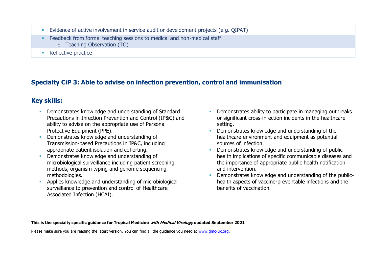- Evidence of active involvement in service audit or development projects (e.g. QIPAT)
- Feedback from formal teaching sessions to medical and non-medical staff:
	- o Teaching Observation (TO)
- Reflective practice

# **Specialty CiP 3: Able to advise on infection prevention, control and immunisation**

# **Key skills:**

- **Demonstrates knowledge and understanding of Standard** Precautions in Infection Prevention and Control (IP&C) and ability to advise on the appropriate use of Personal Protective Equipment (PPE).
- Demonstrates knowledge and understanding of Transmission-based Precautions in IP&C, including appropriate patient isolation and cohorting.
- Demonstrates knowledge and understanding of microbiological surveillance including patient screening methods, organism typing and genome sequencing methodologies.
- **EXECUTE:** Applies knowledge and understanding of microbiological surveillance to prevention and control of Healthcare Associated Infection (HCAI).
- Demonstrates ability to participate in managing outbreaks or significant cross-infection incidents in the healthcare setting.
- **Demonstrates knowledge and understanding of the** healthcare environment and equipment as potential sources of infection.
- Demonstrates knowledge and understanding of public health implications of specific communicable diseases and the importance of appropriate public health notification and intervention.
- Demonstrates knowledge and understanding of the publichealth aspects of vaccine-preventable infections and the benefits of vaccination.

**This is the specialty specific guidance for Tropical Medicine with Medical Virology updated September 2021**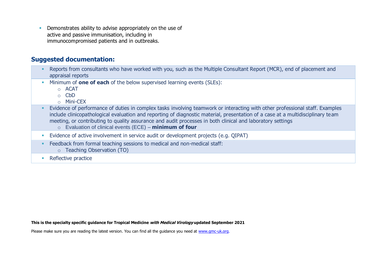**• Demonstrates ability to advise appropriately on the use of** active and passive immunisation, including in immunocompromised patients and in outbreaks.

#### **Suggested documentation:**

- **EXECTS FREPORTS from consultants who have worked with you, such as the Multiple Consultant Report (MCR), end of placement and** appraisal reports
- Minimum of **one of each** of the below supervised learning events (SLEs):
	- $\circ$  ACAT
	- o CbD
	- o Mini-CEX
- Evidence of performance of duties in complex tasks involving teamwork or interacting with other professional staff. Examples include clinicopathological evaluation and reporting of diagnostic material, presentation of a case at a multidisciplinary team meeting, or contributing to quality assurance and audit processes in both clinical and laboratory settings
	- o Evaluation of clinical events (ECE) **minimum of four**
- **E** Evidence of active involvement in service audit or development projects (e.g. OIPAT)
- **Example 2** Feedback from formal teaching sessions to medical and non-medical staff:
	- o Teaching Observation (TO)
- Reflective practice

#### **This is the specialty specific guidance for Tropical Medicine with Medical Virology updated September 2021**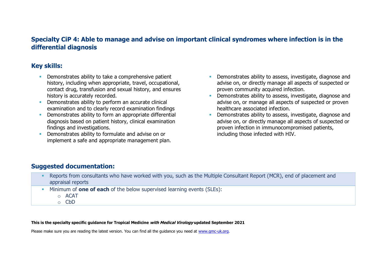### **Specialty CiP 4: Able to manage and advise on important clinical syndromes where infection is in the differential diagnosis**

### **Key skills:**

- **EXECUTE:** Demonstrates ability to take a comprehensive patient history, including when appropriate, travel, occupational, contact drug, transfusion and sexual history, and ensures history is accurately recorded.
- **•** Demonstrates ability to perform an accurate clinical examination and to clearly record examination findings
- **•** Demonstrates ability to form an appropriate differential diagnosis based on patient history, clinical examination findings and investigations.
- Demonstrates ability to formulate and advise on or implement a safe and appropriate management plan.
- **•** Demonstrates ability to assess, investigate, diagnose and advise on, or directly manage all aspects of suspected or proven community acquired infection.
- **•** Demonstrates ability to assess, investigate, diagnose and advise on, or manage all aspects of suspected or proven healthcare associated infection.
- Demonstrates ability to assess, investigate, diagnose and advise on, or directly manage all aspects of suspected or proven infection in immunocompromised patients, including those infected with HIV.

### **Suggested documentation:**

- Reports from consultants who have worked with you, such as the Multiple Consultant Report (MCR), end of placement and appraisal reports
- Minimum of **one of each** of the below supervised learning events (SLEs):
	- o ACAT
	- o CbD

#### **This is the specialty specific guidance for Tropical Medicine with Medical Virology updated September 2021**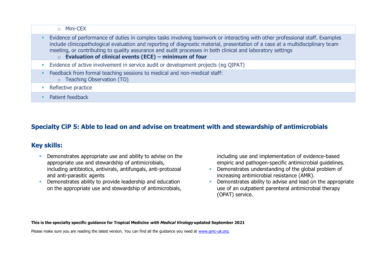o Mini-CEX

- **Evidence of performance of duties in complex tasks involving teamwork or interacting with other professional staff. Examples** include clinicopathological evaluation and reporting of diagnostic material, presentation of a case at a multidisciplinary team meeting, or contributing to quality assurance and audit processes in both clinical and laboratory settings
	- o **Evaluation of clinical events (ECE) – minimum of four**
- **E**vidence of active involvement in service audit or development projects (eq QIPAT)
- Feedback from formal teaching sessions to medical and non-medical staff:
	- o Teaching Observation (TO)
- Reflective practice
- **•** Patient feedback

# **Specialty CiP 5: Able to lead on and advise on treatment with and stewardship of antimicrobials**

### **Key skills:**

- **Demonstrates appropriate use and ability to advise on the** appropriate use and stewardship of antimicrobials, including antibiotics, antivirals, antifungals, anti-protozoal and anti-parasitic agents
- **•** Demonstrates ability to provide leadership and education on the appropriate use and stewardship of antimicrobials,

including use and implementation of evidence-based empiric and pathogen-specific antimicrobial guidelines.

- **•** Demonstrates understanding of the global problem of increasing antimicrobial resistance (AMR).
- Demonstrates ability to advise and lead on the appropriate use of an outpatient parenteral antimicrobial therapy (OPAT) service.

**This is the specialty specific guidance for Tropical Medicine with Medical Virology updated September 2021**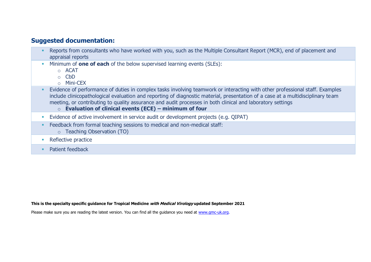### **Suggested documentation:**

- Reports from consultants who have worked with you, such as the Multiple Consultant Report (MCR), end of placement and appraisal reports
- Minimum of **one of each** of the below supervised learning events (SLEs):
	- o ACAT
	- o CbD
	- o Mini-CEX
- **Evidence of performance of duties in complex tasks involving teamwork or interacting with other professional staff. Examples** include clinicopathological evaluation and reporting of diagnostic material, presentation of a case at a multidisciplinary team meeting, or contributing to quality assurance and audit processes in both clinical and laboratory settings
	- o **Evaluation of clinical events (ECE) – minimum of four**
- **Evidence of active involvement in service audit or development projects (e.g. QIPAT)**
- **Example 2** Feedback from formal teaching sessions to medical and non-medical staff:
	- o Teaching Observation (TO)
- Reflective practice
- **•** Patient feedback

#### **This is the specialty specific guidance for Tropical Medicine with Medical Virology updated September 2021**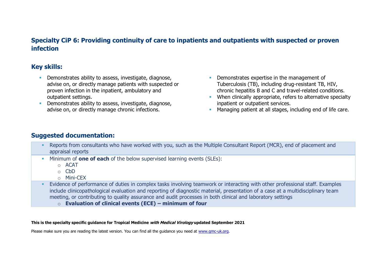### **Specialty CiP 6: Providing continuity of care to inpatients and outpatients with suspected or proven infection**

### **Key skills:**

- **•** Demonstrates ability to assess, investigate, diagnose, advise on, or directly manage patients with suspected or proven infection in the inpatient, ambulatory and outpatient settings.
- **EXECTE Demonstrates ability to assess, investigate, diagnose,** advise on, or directly manage chronic infections.
- **Demonstrates expertise in the management of** Tuberculosis (TB), including drug-resistant TB, HIV, chronic hepatitis B and C and travel-related conditions.
- **EXECT** When clinically appropriate, refers to alternative specialty inpatient or outpatient services.
- **EXECT** Managing patient at all stages, including end of life care.

### **Suggested documentation:**

- **EXECTS FREPORTS from consultants who have worked with you, such as the Multiple Consultant Report (MCR), end of placement and** appraisal reports
- Minimum of **one of each** of the below supervised learning events (SLEs):
	- o ACAT
	- o CbD
	- o Mini-CEX
- Evidence of performance of duties in complex tasks involving teamwork or interacting with other professional staff. Examples include clinicopathological evaluation and reporting of diagnostic material, presentation of a case at a multidisciplinary team meeting, or contributing to quality assurance and audit processes in both clinical and laboratory settings
	- o **Evaluation of clinical events (ECE) – minimum of four**

#### **This is the specialty specific guidance for Tropical Medicine with Medical Virology updated September 2021**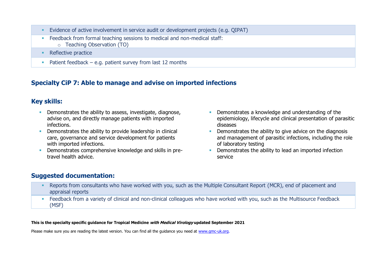- Evidence of active involvement in service audit or development projects (e.g. QIPAT)
- **Example 2** Feedback from formal teaching sessions to medical and non-medical staff:
	- o Teaching Observation (TO)
- Reflective practice
- **•** Patient feedback e.g. patient survey from last 12 months

# **Specialty CiP 7: Able to manage and advise on imported infections**

### **Key skills:**

- **EXECTE Demonstrates the ability to assess, investigate, diagnose,** advise on, and directly manage patients with imported infections.
- **•** Demonstrates the ability to provide leadership in clinical care, governance and service development for patients with imported infections.
- **•** Demonstrates comprehensive knowledge and skills in pretravel health advice.
- **•** Demonstrates a knowledge and understanding of the epidemiology, lifecycle and clinical presentation of parasitic diseases
- **•** Demonstrates the ability to give advice on the diagnosis and management of parasitic infections, including the role of laboratory testing
- **•** Demonstrates the ability to lead an imported infection service

### **Suggested documentation:**

- Reports from consultants who have worked with you, such as the Multiple Consultant Report (MCR), end of placement and appraisal reports
- **EXECT ADDEX FROM A variety of clinical and non-clinical colleagues who have worked with you, such as the Multisource Feedback** (MSF)

#### **This is the specialty specific guidance for Tropical Medicine with Medical Virology updated September 2021**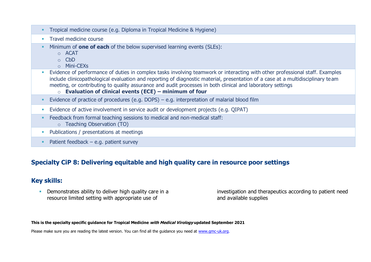|  | Tropical medicine course (e.g. Diploma in Tropical Medicine & Hygiene) |  |  |  |
|--|------------------------------------------------------------------------|--|--|--|
|--|------------------------------------------------------------------------|--|--|--|

- **·** Travel medicine course
- Minimum of **one of each** of the below supervised learning events (SLEs):
	- o ACAT
	- o CbD
	- o Mini-CEXs
- Evidence of performance of duties in complex tasks involving teamwork or interacting with other professional staff. Examples include clinicopathological evaluation and reporting of diagnostic material, presentation of a case at a multidisciplinary team meeting, or contributing to quality assurance and audit processes in both clinical and laboratory settings
	- o **Evaluation of clinical events (ECE) – minimum of four**
- **E**vidence of practice of procedures (e.g. DOPS) e.g. interpretation of malarial blood film
- **E** Evidence of active involvement in service audit or development projects (e.g. QIPAT)
- Feedback from formal teaching sessions to medical and non-medical staff:
	- o Teaching Observation (TO)
- **Publications / presentations at meetings**
- $\blacksquare$  Patient feedback e.g. patient survey

#### **Specialty CiP 8: Delivering equitable and high quality care in resource poor settings**

### **Key skills:**

**• Demonstrates ability to deliver high quality care in a** resource limited setting with appropriate use of

investigation and therapeutics according to patient need and available supplies

**This is the specialty specific guidance for Tropical Medicine with Medical Virology updated September 2021**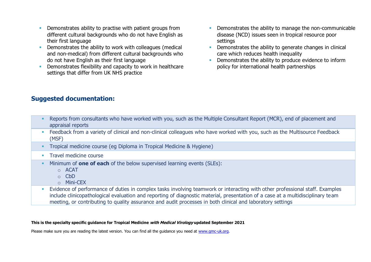- **EXECT** Demonstrates ability to practise with patient groups from different cultural backgrounds who do not have English as their first language
- Demonstrates the ability to work with colleagues (medical and non-medical) from different cultural backgrounds who do not have English as their first language
- **•** Demonstrates flexibility and capacity to work in healthcare settings that differ from UK NHS practice
- **•** Demonstrates the ability to manage the non-communicable disease (NCD) issues seen in tropical resource poor settings
- **•** Demonstrates the ability to generate changes in clinical care which reduces health inequality
- **EXECUTE:** Demonstrates the ability to produce evidence to inform policy for international health partnerships

### **Suggested documentation:**

| Reports from consultants who have worked with you, such as the Multiple Consultant Report (MCR), end of placement and<br>appraisal reports |
|--------------------------------------------------------------------------------------------------------------------------------------------|
| Feedback from a variety of clinical and non-clinical colleagues who have worked with you, such as the Multisource Feedback<br>(MSF)        |
| Tropical medicine course (eg Diploma in Tropical Medicine & Hygiene)                                                                       |
| Travel medicine course                                                                                                                     |
| Minimum of one of each of the below supervised learning events (SLEs):<br>$\circ$ ACAT<br>$\circ$ CbD<br>o Mini-CEX                        |
| Evidence of performance of duties in complex tasks involving teamwork or interacting with other professional staff. Examples               |

include clinicopathological evaluation and reporting of diagnostic material, presentation of a case at a multidisciplinary team meeting, or contributing to quality assurance and audit processes in both clinical and laboratory settings

#### **This is the specialty specific guidance for Tropical Medicine with Medical Virology updated September 2021**